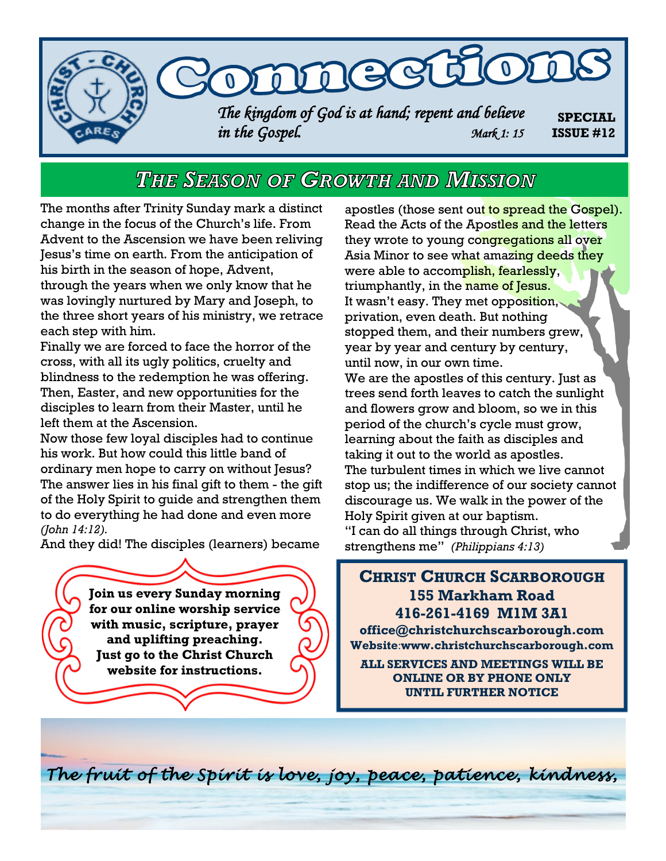

# THE SEASON OF GROWTH AND MISSION

The months after Trinity Sunday mark a distinct change in the focus of the Church's life. From Advent to the Ascension we have been reliving Jesus's time on earth. From the anticipation of his birth in the season of hope, Advent, through the years when we only know that he was lovingly nurtured by Mary and Joseph, to the three short years of his ministry, we retrace each step with him.

Finally we are forced to face the horror of the cross, with all its ugly politics, cruelty and blindness to the redemption he was offering. Then, Easter, and new opportunities for the disciples to learn from their Master, until he left them at the Ascension.

Now those few loyal disciples had to continue his work. But how could this little band of ordinary men hope to carry on without Jesus? The answer lies in his final gift to them - the gift of the Holy Spirit to guide and strengthen them to do everything he had done and even more *(John 14:12).*

And they did! The disciples (learners) became

**Join us every Sunday morning for our online worship service with music, scripture, prayer and uplifting preaching. Just go to the Christ Church website for instructions.**

apostles (those sent out to spread the Gospel). Read the Acts of the Apostles and the letters they wrote to young congregations all over Asia Minor to see what amazing deeds they were able to accomplish, fearlessly, triumphantly, in the name of Jesus. It wasn't easy. They met opposition, privation, even death. But nothing stopped them, and their numbers grew, year by year and century by century, until now, in our own time. We are the apostles of this century. Just as trees send forth leaves to catch the sunlight and flowers grow and bloom, so we in this period of the church's cycle must grow, learning about the faith as disciples and taking it out to the world as apostles. The turbulent times in which we live cannot stop us; the indifference of our society cannot discourage us. We walk in the power of the Holy Spirit given at our baptism. "I can do all things through Christ, who strengthens me" *(Philippians 4:13)*

### **CHRIST CHURCH SCARBOROUGH 155 Markham Road 416-261-4169 M1M 3A1**

**office@christchurchscarborough.com Website**:**www.christchurchscarborough.com**

**ALL SERVICES AND MEETINGS WILL BE ONLINE OR BY PHONE ONLY UNTIL FURTHER NOTICE**

*The fruit of the Spirit is love, joy, peace, patience, kindness,*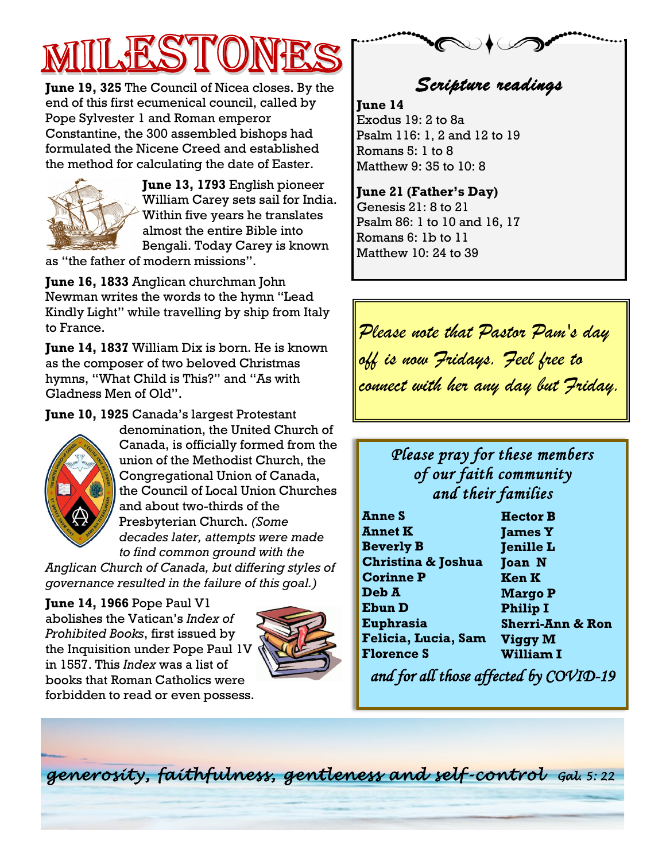**June 19, 325** The Council of Nicea closes. By the end of this first ecumenical council, called by Pope Sylvester 1 and Roman emperor Constantine, the 300 assembled bishops had formulated the Nicene Creed and established the method for calculating the date of Easter.



**June 13, 1793** English pioneer William Carey sets sail for India. Within five years he translates almost the entire Bible into Bengali. Today Carey is known

as "the father of modern missions".

**June 16, 1833** Anglican churchman John Newman writes the words to the hymn "Lead Kindly Light" while travelling by ship from Italy to France.

**June 14, 1837** William Dix is born. He is known as the composer of two beloved Christmas hymns, "What Child is This?" and "As with Gladness Men of Old".

**June 10, 1925** Canada's largest Protestant



denomination, the United Church of Canada, is officially formed from the union of the Methodist Church, the Congregational Union of Canada, the Council of Local Union Churches and about two-thirds of the Presbyterian Church. *(Some decades later, attempts were made to find common ground with the* 

*Anglican Church of Canada, but differing styles of governance resulted in the failure of this goal.)*

**June 14, 1966** Pope Paul V1 abolishes the Vatican's *Index of Prohibited Books*, first issued by the Inquisition under Pope Paul 1V in 1557. This *Index* was a list of books that Roman Catholics were forbidden to read or even possess.



*Scripture readings* 

**June 14** Exodus 19: 2 to 8a Psalm 116: 1, 2 and 12 to 19 Romans 5: 1 to 8 Matthew 9: 35 to 10: 8

**June 21 (Father's Day)** Genesis 21: 8 to 21 Psalm 86: 1 to 10 and 16, 17 Romans 6: 1b to 11 Matthew 10: 24 to 39

*Please note that Pastor Pam's day off is now Fridays. Feel free to connect with her any day but Friday.* 

## *Please pray for these members of our faith community and their families*

| <b>Anne S</b>                 | <b>Hector B</b>             |
|-------------------------------|-----------------------------|
| <b>Annet K</b>                | <b>James Y</b>              |
| <b>Beverly B</b>              | <b>Jenille L</b>            |
| <b>Christina &amp; Joshua</b> | <b>Joan N</b>               |
| <b>Corinne P</b>              | <b>Ken K</b>                |
| Deb A                         | <b>Margo P</b>              |
| <b>Ebun D</b>                 | <b>Philip I</b>             |
| Euphrasia                     | <b>Sherri-Ann &amp; Ron</b> |
| Felicia, Lucia, Sam           | <b>Viggy M</b>              |
| <b>Florence S</b>             | <b>William I</b>            |

 *and for all those affected by COVID-19* 

*generosity, faithfulness, gentleness and self -control Gal. 5: 22*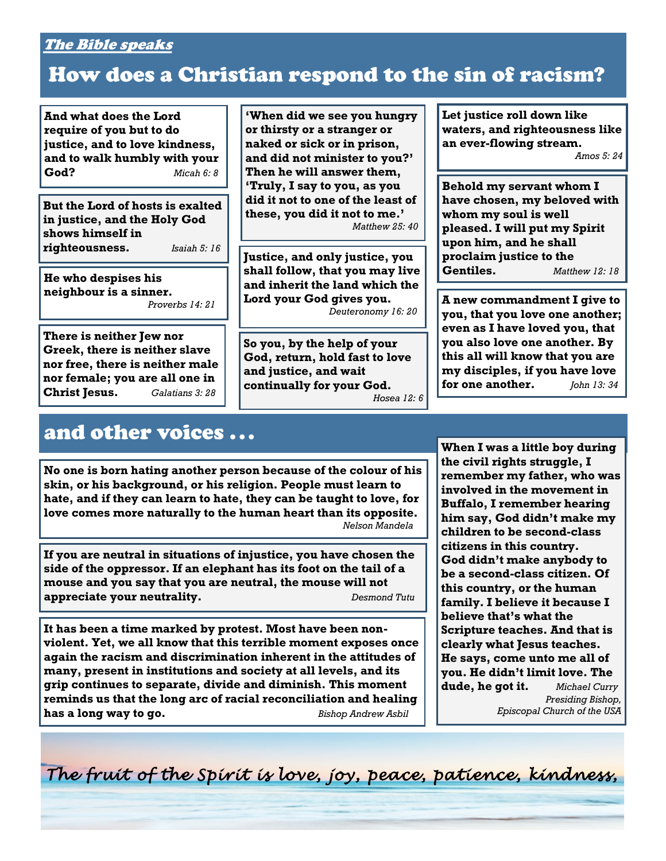### The Bible speaks

# How does a Christian respond to the sin of racism?

**And what does the Lord require of you but to do justice, and to love kindness, and to walk humbly with your God?** *Micah 6: 8*

**But the Lord of hosts is exalted in justice, and the Holy God shows himself in righteousness.** *Isaiah 5: 16*

**He who despises his neighbour is a sinner.** *Proverbs 14: 21*

**There is neither Jew nor Greek, there is neither slave nor free, there is neither male nor female; you are all one in Christ Jesus.** *Galatians 3: 28*

and other voices ...

**'When did we see you hungry or thirsty or a stranger or naked or sick or in prison, and did not minister to you?' Then he will answer them, 'Truly, I say to you, as you did it not to one of the least of these, you did it not to me.'** *Matthew 25: 40*

**Justice, and only justice, you shall follow, that you may live and inherit the land which the Lord your God gives you.** *Deuteronomy 16: 20*

**So you, by the help of your God, return, hold fast to love and justice, and wait continually for your God.** *Hosea 12: 6* **Let justice roll down like waters, and righteousness like an ever-flowing stream.** *Amos 5: 24*

**Behold my servant whom I have chosen, my beloved with whom my soul is well pleased. I will put my Spirit upon him, and he shall proclaim justice to the Gentiles.** *Matthew 12: 18*

**A new commandment I give to you, that you love one another; even as I have loved you, that you also love one another. By this all will know that you are my disciples, if you have love for one another.** *John 13: 34*

**No one is born hating another person because of the colour of his skin, or his background, or his religion. People must learn to hate, and if they can learn to hate, they can be taught to love, for love comes more naturally to the human heart than its opposite.** *Nelson Mandela*

**If you are neutral in situations of injustice, you have chosen the side of the oppressor. If an elephant has its foot on the tail of a mouse and you say that you are neutral, the mouse will not appreciate your neutrality.** *Desmond Tutu* 

**It has been a time marked by protest. Most have been nonviolent. Yet, we all know that this terrible moment exposes once again the racism and discrimination inherent in the attitudes of many, present in institutions and society at all levels, and its grip continues to separate, divide and diminish. This moment reminds us that the long arc of racial reconciliation and healing has a long way to go.** *Bishop Andrew Asbil*

**When I was a little boy during the civil rights struggle, I remember my father, who was involved in the movement in Buffalo, I remember hearing him say, God didn't make my children to be second-class citizens in this country. God didn't make anybody to be a second-class citizen. Of this country, or the human family. I believe it because I believe that's what the Scripture teaches. And that is clearly what Jesus teaches. He says, come unto me all of you. He didn't limit love. The dude, he got it.** *Michael Curry Presiding Bishop, Episcopal Church of the USA*

*The fruit of the Spirit is love, joy, peace, patience, kindness,*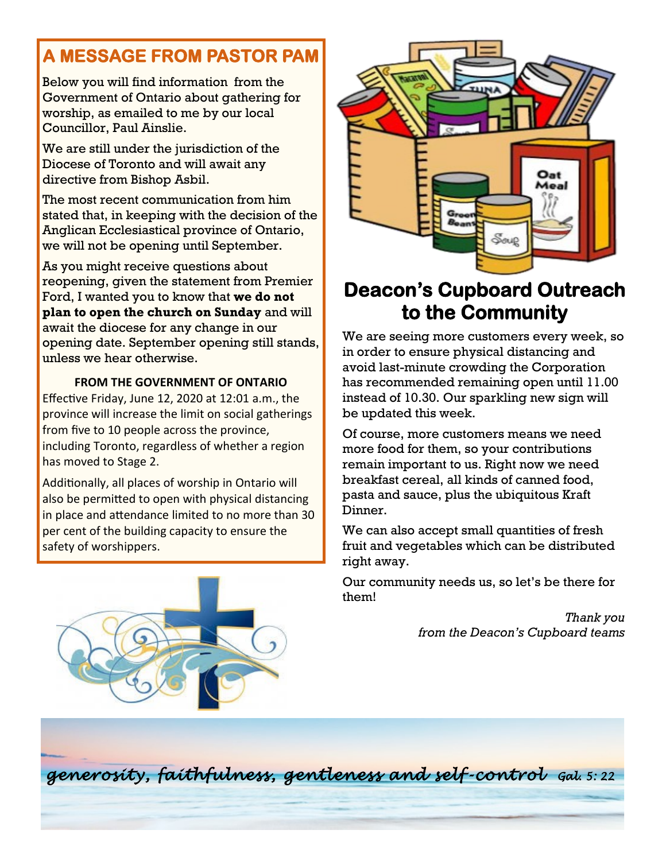## **A MESSAGE FROM PASTOR PAM**

Below you will find information from the Government of Ontario about gathering for worship, as emailed to me by our local Councillor, Paul Ainslie.

We are still under the jurisdiction of the Diocese of Toronto and will await any directive from Bishop Asbil.

The most recent communication from him stated that, in keeping with the decision of the Anglican Ecclesiastical province of Ontario, we will not be opening until September.

As you might receive questions about reopening, given the statement from Premier Ford, I wanted you to know that **we do not plan to open the church on Sunday** and will await the diocese for any change in our opening date. September opening still stands, unless we hear otherwise.

### **FROM THE GOVERNMENT OF ONTARIO**

Effective Friday, June 12, 2020 at 12:01 a.m., the province will increase the limit on social gatherings from five to 10 people across the province, including Toronto, regardless of whether a region has moved to Stage 2.

Additionally, all places of worship in Ontario will also be permitted to open with physical distancing in place and attendance limited to no more than 30 per cent of the building capacity to ensure the safety of worshippers.





# **Deacon's Cupboard Outreach to the Community**

We are seeing more customers every week, so in order to ensure physical distancing and avoid last-minute crowding the Corporation has recommended remaining open until 11.00 instead of 10.30. Our sparkling new sign will be updated this week.

Of course, more customers means we need more food for them, so your contributions remain important to us. Right now we need breakfast cereal, all kinds of canned food, pasta and sauce, plus the ubiquitous Kraft Dinner.

We can also accept small quantities of fresh fruit and vegetables which can be distributed right away.

Our community needs us, so let's be there for them!

> *Thank you from the Deacon's Cupboard teams*

*generosity, faithfulness, gentleness and self -control Gal. 5: 22*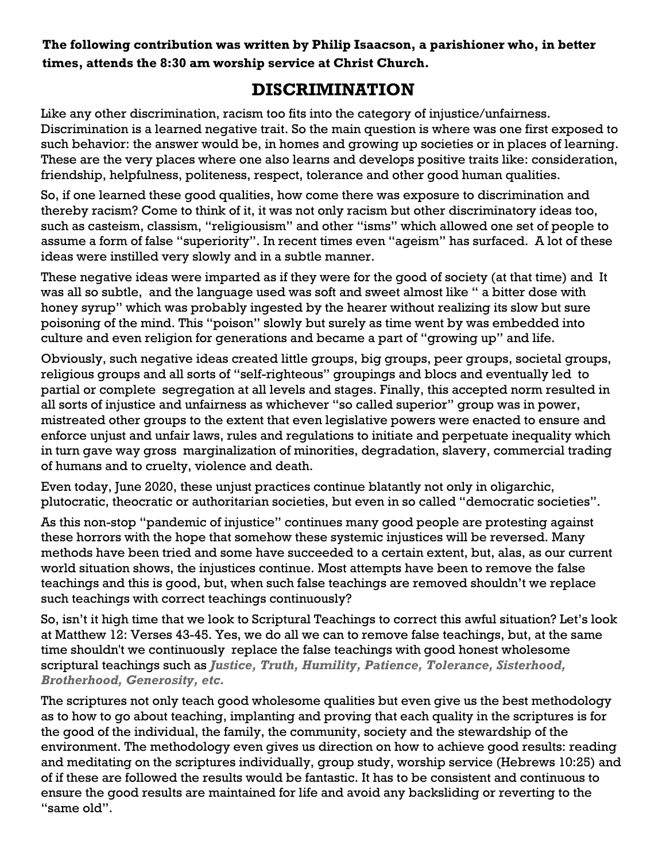**The following contribution was written by Philip Isaacson, a parishioner who, in better times, attends the 8:30 am worship service at Christ Church.**

### **DISCRIMINATION**

Like any other discrimination, racism too fits into the category of injustice/unfairness. Discrimination is a learned negative trait. So the main question is where was one first exposed to such behavior: the answer would be, in homes and growing up societies or in places of learning. These are the very places where one also learns and develops positive traits like: consideration, friendship, helpfulness, politeness, respect, tolerance and other good human qualities.

So, if one learned these good qualities, how come there was exposure to discrimination and thereby racism? Come to think of it, it was not only racism but other discriminatory ideas too, such as casteism, classism, "religiousism" and other "isms" which allowed one set of people to assume a form of false "superiority". In recent times even "ageism" has surfaced. A lot of these ideas were instilled very slowly and in a subtle manner.

These negative ideas were imparted as if they were for the good of society (at that time) and It was all so subtle, and the language used was soft and sweet almost like " a bitter dose with honey syrup" which was probably ingested by the hearer without realizing its slow but sure poisoning of the mind. This "poison" slowly but surely as time went by was embedded into culture and even religion for generations and became a part of "growing up" and life.

Obviously, such negative ideas created little groups, big groups, peer groups, societal groups, religious groups and all sorts of "self-righteous" groupings and blocs and eventually led to partial or complete segregation at all levels and stages. Finally, this accepted norm resulted in all sorts of injustice and unfairness as whichever "so called superior" group was in power, mistreated other groups to the extent that even legislative powers were enacted to ensure and enforce unjust and unfair laws, rules and regulations to initiate and perpetuate inequality which in turn gave way gross marginalization of minorities, degradation, slavery, commercial trading of humans and to cruelty, violence and death.

Even today, June 2020, these unjust practices continue blatantly not only in oligarchic, plutocratic, theocratic or authoritarian societies, but even in so called "democratic societies".

As this non-stop "pandemic of injustice" continues many good people are protesting against these horrors with the hope that somehow these systemic injustices will be reversed. Many methods have been tried and some have succeeded to a certain extent, but, alas, as our current world situation shows, the injustices continue. Most attempts have been to remove the false teachings and this is good, but, when such false teachings are removed shouldn't we replace such teachings with correct teachings continuously?

So, isn't it high time that we look to Scriptural Teachings to correct this awful situation? Let's look at Matthew 12: Verses 43-45. Yes, we do all we can to remove false teachings, but, at the same time shouldn't we continuously replace the false teachings with good honest wholesome scriptural teachings such as *Justice, Truth, Humility, Patience, Tolerance, Sisterhood, Brotherhood, Generosity, etc.* 

The scriptures not only teach good wholesome qualities but even give us the best methodology as to how to go about teaching, implanting and proving that each quality in the scriptures is for the good of the individual, the family, the community, society and the stewardship of the environment. The methodology even gives us direction on how to achieve good results: reading and meditating on the scriptures individually, group study, worship service (Hebrews 10:25) and of if these are followed the results would be fantastic. It has to be consistent and continuous to ensure the good results are maintained for life and avoid any backsliding or reverting to the "same old".